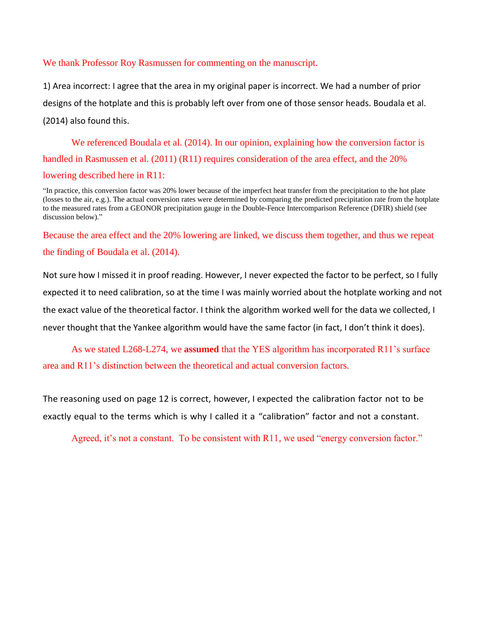## We thank Professor Roy Rasmussen for commenting on the manuscript.

1) Area incorrect: I agree that the area in my original paper is incorrect. We had a number of prior designs of the hotplate and this is probably left over from one of those sensor heads. Boudala et al. (2014) also found this.

We referenced Boudala et al. (2014). In our opinion, explaining how the conversion factor is handled in Rasmussen et al. (2011) (R11) requires consideration of the area effect, and the 20% lowering described here in R11:

"In practice, this conversion factor was 20% lower because of the imperfect heat transfer from the precipitation to the hot plate (losses to the air, e.g.). The actual conversion rates were determined by comparing the predicted precipitation rate from the hotplate to the measured rates from a GEONOR precipitation gauge in the Double-Fence Intercomparison Reference (DFIR) shield (see discussion below)."

Because the area effect and the 20% lowering are linked, we discuss them together, and thus we repeat the finding of Boudala et al. (2014).

Not sure how I missed it in proof reading. However, I never expected the factor to be perfect, so I fully expected it to need calibration, so at the time I was mainly worried about the hotplate working and not the exact value of the theoretical factor. I think the algorithm worked well for the data we collected, I never thought that the Yankee algorithm would have the same factor (in fact, I don't think it does).

As we stated L268-L274, we **assumed** that the YES algorithm has incorporated R11's surface area and R11's distinction between the theoretical and actual conversion factors.

The reasoning used on page 12 is correct, however, I expected the calibration factor not to be exactly equal to the terms which is why I called it a "calibration" factor and not a constant.

Agreed, it's not a constant. To be consistent with R11, we used "energy conversion factor."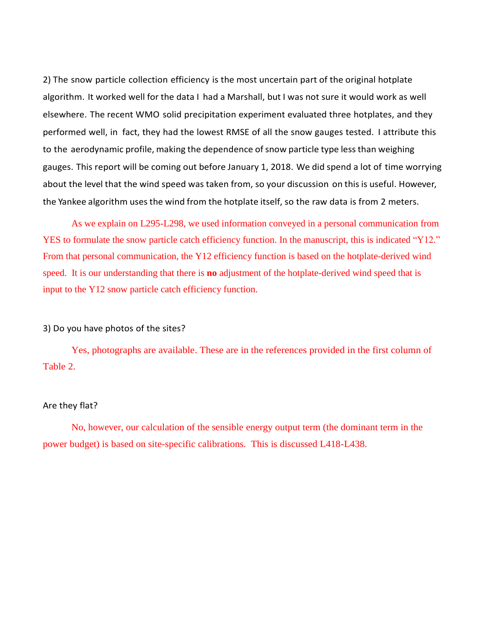2) The snow particle collection efficiency is the most uncertain part of the original hotplate algorithm. It worked well for the data I had a Marshall, but I was not sure it would work as well elsewhere. The recent WMO solid precipitation experiment evaluated three hotplates, and they performed well, in fact, they had the lowest RMSE of all the snow gauges tested. I attribute this to the aerodynamic profile, making the dependence of snow particle type less than weighing gauges. This report will be coming out before January 1, 2018. We did spend a lot of time worrying about the level that the wind speed was taken from, so your discussion on this is useful. However, the Yankee algorithm uses the wind from the hotplate itself, so the raw data is from 2 meters.

As we explain on L295-L298, we used information conveyed in a personal communication from YES to formulate the snow particle catch efficiency function. In the manuscript, this is indicated "Y12." From that personal communication, the Y12 efficiency function is based on the hotplate-derived wind speed. It is our understanding that there is **no** adjustment of the hotplate-derived wind speed that is input to the Y12 snow particle catch efficiency function.

## 3) Do you have photos of the sites?

Yes, photographs are available. These are in the references provided in the first column of Table 2.

## Are they flat?

No, however, our calculation of the sensible energy output term (the dominant term in the power budget) is based on site-specific calibrations. This is discussed L418-L438.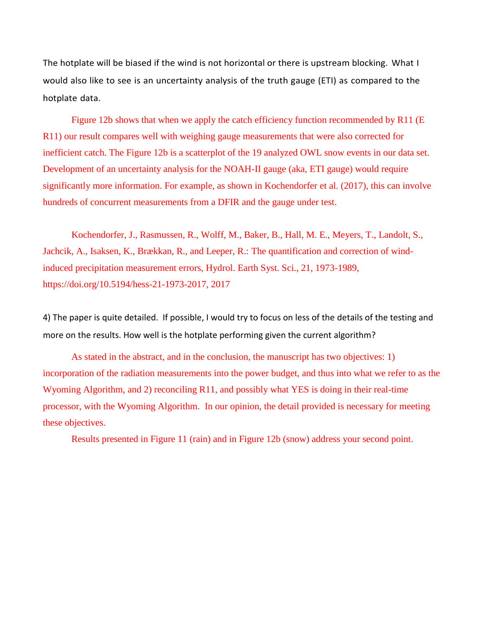The hotplate will be biased if the wind is not horizontal or there is upstream blocking. What I would also like to see is an uncertainty analysis of the truth gauge (ETI) as compared to the hotplate data.

Figure 12b shows that when we apply the catch efficiency function recommended by R11 (E) R11) our result compares well with weighing gauge measurements that were also corrected for inefficient catch. The Figure 12b is a scatterplot of the 19 analyzed OWL snow events in our data set. Development of an uncertainty analysis for the NOAH-II gauge (aka, ETI gauge) would require significantly more information. For example, as shown in Kochendorfer et al. (2017), this can involve hundreds of concurrent measurements from a DFIR and the gauge under test.

Kochendorfer, J., Rasmussen, R., Wolff, M., Baker, B., Hall, M. E., Meyers, T., Landolt, S., Jachcik, A., Isaksen, K., Brækkan, R., and Leeper, R.: The quantification and correction of windinduced precipitation measurement errors, Hydrol. Earth Syst. Sci., 21, 1973-1989, https://doi.org/10.5194/hess-21-1973-2017, 2017

4) The paper is quite detailed. If possible, I would try to focus on less of the details of the testing and more on the results. How well is the hotplate performing given the current algorithm?

As stated in the abstract, and in the conclusion, the manuscript has two objectives: 1) incorporation of the radiation measurements into the power budget, and thus into what we refer to as the Wyoming Algorithm, and 2) reconciling R11, and possibly what YES is doing in their real-time processor, with the Wyoming Algorithm. In our opinion, the detail provided is necessary for meeting these objectives.

Results presented in Figure 11 (rain) and in Figure 12b (snow) address your second point.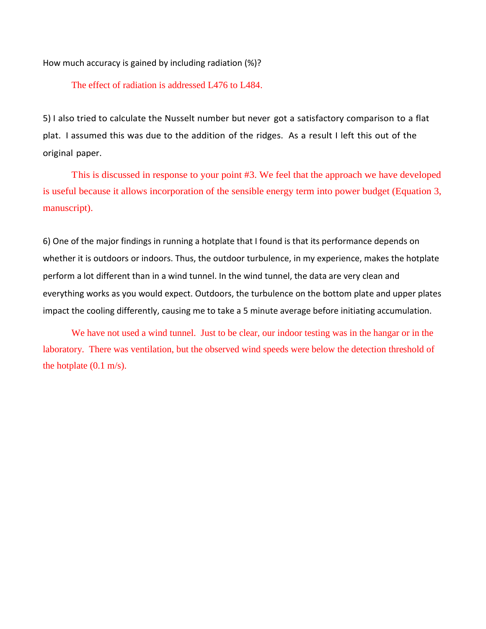How much accuracy is gained by including radiation (%)?

The effect of radiation is addressed L476 to L484.

5) I also tried to calculate the Nusselt number but never got a satisfactory comparison to a flat plat. I assumed this was due to the addition of the ridges. As a result I left this out of the original paper.

This is discussed in response to your point #3. We feel that the approach we have developed is useful because it allows incorporation of the sensible energy term into power budget (Equation 3, manuscript).

6) One of the major findings in running a hotplate that I found is that its performance depends on whether it is outdoors or indoors. Thus, the outdoor turbulence, in my experience, makes the hotplate perform a lot different than in a wind tunnel. In the wind tunnel, the data are very clean and everything works as you would expect. Outdoors, the turbulence on the bottom plate and upper plates impact the cooling differently, causing me to take a 5 minute average before initiating accumulation.

We have not used a wind tunnel. Just to be clear, our indoor testing was in the hangar or in the laboratory. There was ventilation, but the observed wind speeds were below the detection threshold of the hotplate  $(0.1 \text{ m/s})$ .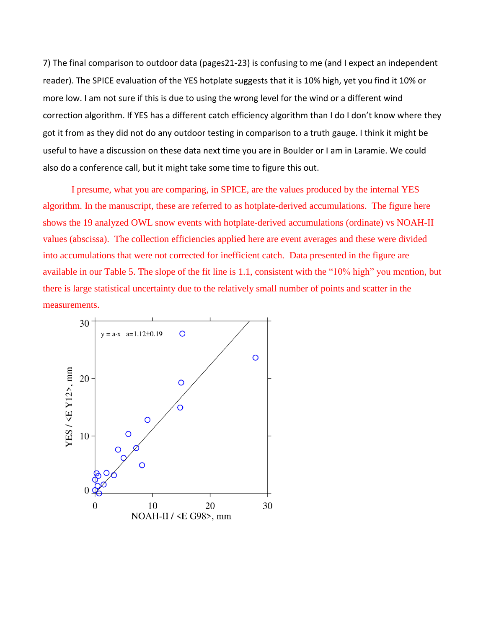7) The final comparison to outdoor data (pages21-23) is confusing to me (and I expect an independent reader). The SPICE evaluation of the YES hotplate suggests that it is 10% high, yet you find it 10% or more low. I am not sure if this is due to using the wrong level for the wind or a different wind correction algorithm. If YES has a different catch efficiency algorithm than I do I don't know where they got it from as they did not do any outdoor testing in comparison to a truth gauge. I think it might be useful to have a discussion on these data next time you are in Boulder or I am in Laramie. We could also do a conference call, but it might take some time to figure this out.

I presume, what you are comparing, in SPICE, are the values produced by the internal YES algorithm. In the manuscript, these are referred to as hotplate-derived accumulations. The figure here shows the 19 analyzed OWL snow events with hotplate-derived accumulations (ordinate) vs NOAH-II values (abscissa). The collection efficiencies applied here are event averages and these were divided into accumulations that were not corrected for inefficient catch. Data presented in the figure are available in our Table 5. The slope of the fit line is 1.1, consistent with the "10% high" you mention, but there is large statistical uncertainty due to the relatively small number of points and scatter in the measurements.

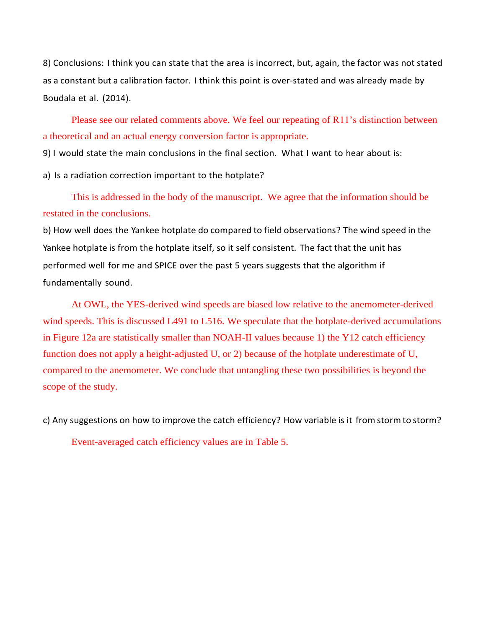8) Conclusions: I think you can state that the area is incorrect, but, again, the factor was not stated as a constant but a calibration factor. I think this point is over-stated and was already made by Boudala et al. (2014).

Please see our related comments above. We feel our repeating of R11's distinction between a theoretical and an actual energy conversion factor is appropriate.

9) I would state the main conclusions in the final section. What I want to hear about is:

a) Is a radiation correction important to the hotplate?

This is addressed in the body of the manuscript. We agree that the information should be restated in the conclusions.

b) How well does the Yankee hotplate do compared to field observations? The wind speed in the Yankee hotplate is from the hotplate itself, so it self consistent. The fact that the unit has performed well for me and SPICE over the past 5 years suggests that the algorithm if fundamentally sound.

At OWL, the YES-derived wind speeds are biased low relative to the anemometer-derived wind speeds. This is discussed L491 to L516. We speculate that the hotplate-derived accumulations in Figure 12a are statistically smaller than NOAH-II values because 1) the Y12 catch efficiency function does not apply a height-adjusted U, or 2) because of the hotplate underestimate of U, compared to the anemometer. We conclude that untangling these two possibilities is beyond the scope of the study.

c) Any suggestions on how to improve the catch efficiency? How variable is it from stormto storm?

Event-averaged catch efficiency values are in Table 5.